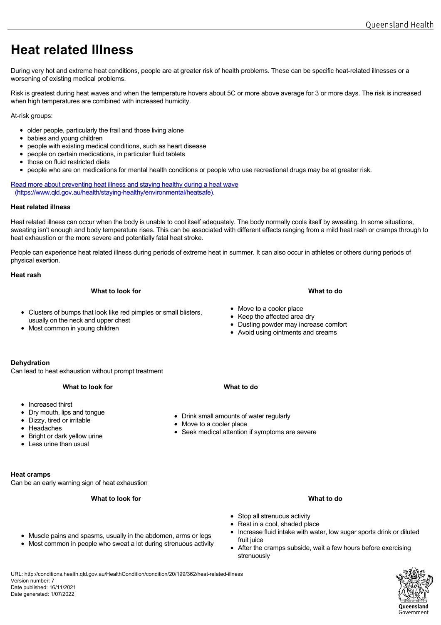## **Heat related Illness**

During very hot and extreme heat conditions, people are at greater risk of health problems. These can be specific heat-related illnesses or a worsening of existing medical problems.

Risk is greatest during heat waves and when the temperature hovers about 5C or more above average for 3 or more days. The risk is increased when high temperatures are combined with increased humidity.

At-risk groups:

- older people, particularly the frail and those living alone
- babies and young children
- people with existing medical conditions, such as heart disease
- people on certain medications, in particular fluid tablets
- those on fluid restricted diets  $\bullet$
- people who are on medications for mental health conditions or people who use recreational drugs may be at greater risk.

[Read more about preventing heat illness and staying healthy during a he](https://www.qld.gov.au/health/staying-healthy/environmental/heatsafe)at wave (https://www.qld.gov.au/health/staying-healthy/environmental/heatsafe).

### **Heat related illness**

Heat related illness can occur when the body is unable to cool itself adequately. The body normally cools itself by sweating. In some situations, sweating isn't enough and body temperature rises. This can be associated with different effects ranging from a mild heat rash or cramps through to heat exhaustion or the more severe and potentially fatal heat stroke.

People can experience heat related illness during periods of extreme heat in summer. It can also occur in athletes or others during periods of physical exertion.

## **Heat rash**

## **What to look for What to do**

- Clusters of bumps that look like red pimples or small blisters, usually on the neck and upper chest
- Most common in young children
- Move to a cooler place
- Keep the affected area dry
- Dusting powder may increase comfort
- Avoid using ointments and creams

## **Dehydration**

Can lead to heat exhaustion without prompt treatment

- Increased thirst
- Dry mouth, lips and tongue
- Dizzy, tired or irritable
- Headaches
- Bright or dark yellow urine
- $\bullet$  Less urine than usual

## **Heat cramps**

Can be an early warning sign of heat exhaustion

## **What to look for What to do**

- Muscle pains and spasms, usually in the abdomen, arms or legs
- Most common in people who sweat a lot during strenuous activity
- 
- Drink small amounts of water regularly
- Move to a cooler place
- Seek medical attention if symptoms are severe

- Stop all strenuous activity • Rest in a cool, shaded place
- Increase fluid intake with water, low sugar sports drink or diluted fruit juice
- After the cramps subside, wait a few hours before exercising strenuously

URL: http://conditions.health.qld.gov.au/HealthCondition/condition/20/199/362/heat-related-illness Version number: 7 Date published: 16/11/2021 Date generated: 1/07/2022

# Queensland Government

- 
- 

**What to look for What to do**